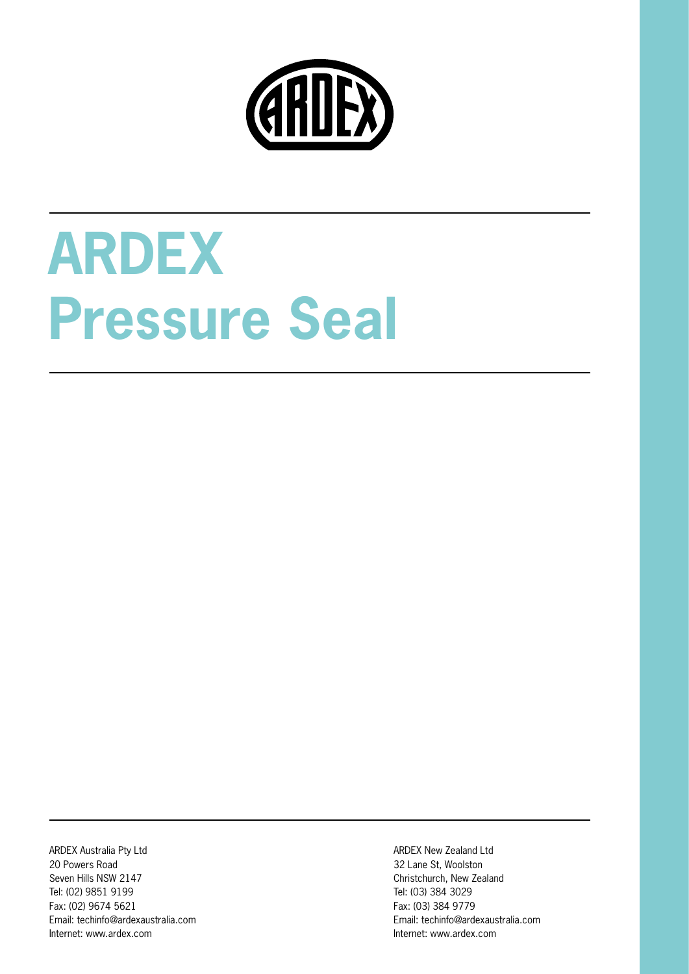

# **ARDEX Pressure Seal**

ARDEX Australia Pty Ltd 20 Powers Road Seven Hills NSW 2147 Tel: (02) 9851 9199 Fax: (02) 9674 5621 Email: techinfo@ardexaustralia.com Internet: www.ardex.com

ARDEX New Zealand Ltd 32 Lane St, Woolston Christchurch, New Zealand Tel: (03) 384 3029 Fax: (03) 384 9779 Email: techinfo@ardexaustralia.com Internet: www.ardex.com